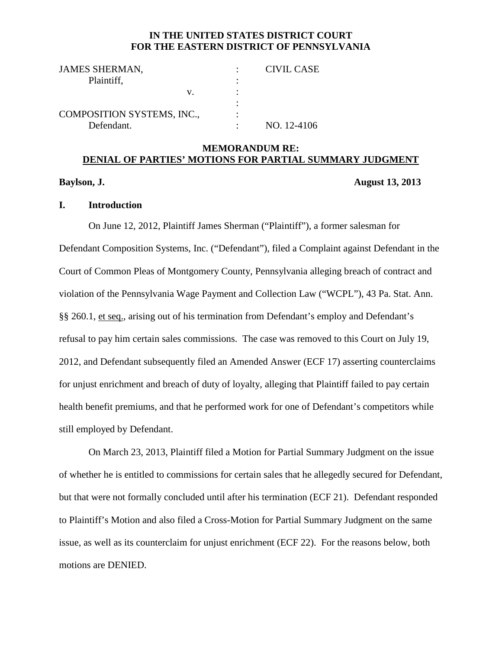### **IN THE UNITED STATES DISTRICT COURT FOR THE EASTERN DISTRICT OF PENNSYLVANIA**

| <b>JAMES SHERMAN,</b>             |    | <b>CIVIL CASE</b> |
|-----------------------------------|----|-------------------|
| Plaintiff,                        |    |                   |
|                                   | V. |                   |
|                                   |    |                   |
| <b>COMPOSITION SYSTEMS, INC.,</b> |    |                   |
| Defendant.                        |    | NO. 12-4106       |

## **MEMORANDUM RE: DENIAL OF PARTIES' MOTIONS FOR PARTIAL SUMMARY JUDGMENT**

#### **Baylson, J. August 13, 2013**

## **I. Introduction**

On June 12, 2012, Plaintiff James Sherman ("Plaintiff"), a former salesman for Defendant Composition Systems, Inc. ("Defendant"), filed a Complaint against Defendant in the Court of Common Pleas of Montgomery County, Pennsylvania alleging breach of contract and violation of the Pennsylvania Wage Payment and Collection Law ("WCPL"), 43 Pa. Stat. Ann. §§ 260.1, et seq., arising out of his termination from Defendant's employ and Defendant's refusal to pay him certain sales commissions. The case was removed to this Court on July 19, 2012, and Defendant subsequently filed an Amended Answer (ECF 17) asserting counterclaims for unjust enrichment and breach of duty of loyalty, alleging that Plaintiff failed to pay certain health benefit premiums, and that he performed work for one of Defendant's competitors while still employed by Defendant.

On March 23, 2013, Plaintiff filed a Motion for Partial Summary Judgment on the issue of whether he is entitled to commissions for certain sales that he allegedly secured for Defendant, but that were not formally concluded until after his termination (ECF 21). Defendant responded to Plaintiff's Motion and also filed a Cross-Motion for Partial Summary Judgment on the same issue, as well as its counterclaim for unjust enrichment (ECF 22). For the reasons below, both motions are DENIED.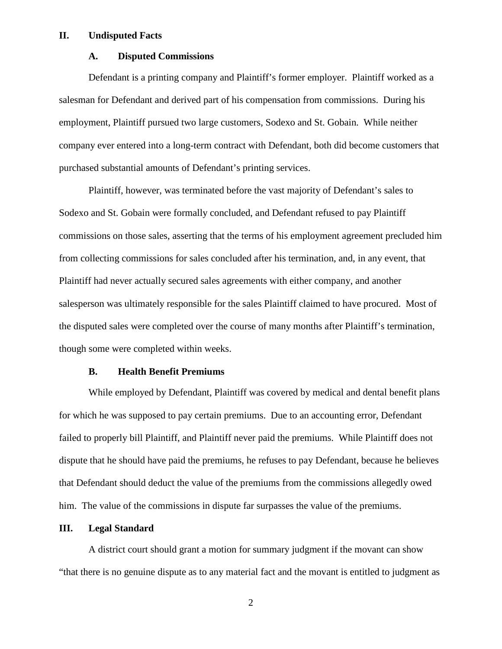#### **II. Undisputed Facts**

#### **A. Disputed Commissions**

Defendant is a printing company and Plaintiff's former employer. Plaintiff worked as a salesman for Defendant and derived part of his compensation from commissions. During his employment, Plaintiff pursued two large customers, Sodexo and St. Gobain. While neither company ever entered into a long-term contract with Defendant, both did become customers that purchased substantial amounts of Defendant's printing services.

Plaintiff, however, was terminated before the vast majority of Defendant's sales to Sodexo and St. Gobain were formally concluded, and Defendant refused to pay Plaintiff commissions on those sales, asserting that the terms of his employment agreement precluded him from collecting commissions for sales concluded after his termination, and, in any event, that Plaintiff had never actually secured sales agreements with either company, and another salesperson was ultimately responsible for the sales Plaintiff claimed to have procured. Most of the disputed sales were completed over the course of many months after Plaintiff's termination, though some were completed within weeks.

## **B. Health Benefit Premiums**

While employed by Defendant, Plaintiff was covered by medical and dental benefit plans for which he was supposed to pay certain premiums. Due to an accounting error, Defendant failed to properly bill Plaintiff, and Plaintiff never paid the premiums. While Plaintiff does not dispute that he should have paid the premiums, he refuses to pay Defendant, because he believes that Defendant should deduct the value of the premiums from the commissions allegedly owed him. The value of the commissions in dispute far surpasses the value of the premiums.

#### **III. Legal Standard**

A district court should grant a motion for summary judgment if the movant can show "that there is no genuine dispute as to any material fact and the movant is entitled to judgment as

2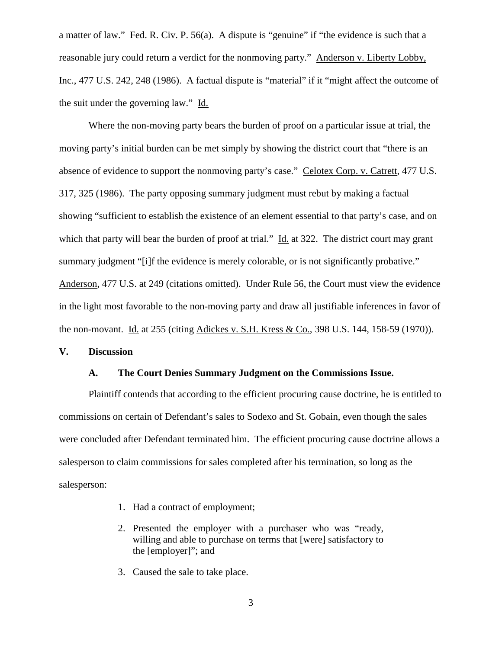a matter of law." Fed. R. Civ. P. 56(a). A dispute is "genuine" if "the evidence is such that a reasonable jury could return a verdict for the nonmoving party." Anderson v. Liberty Lobby, Inc., 477 U.S. 242, 248 (1986). A factual dispute is "material" if it "might affect the outcome of the suit under the governing law." Id.

Where the non-moving party bears the burden of proof on a particular issue at trial, the moving party's initial burden can be met simply by showing the district court that "there is an absence of evidence to support the nonmoving party's case." Celotex Corp. v. Catrett, 477 U.S. 317, 325 (1986). The party opposing summary judgment must rebut by making a factual showing "sufficient to establish the existence of an element essential to that party's case, and on which that party will bear the burden of proof at trial." Id. at 322. The district court may grant summary judgment "[i]f the evidence is merely colorable, or is not significantly probative." Anderson, 477 U.S. at 249 (citations omitted). Under Rule 56, the Court must view the evidence in the light most favorable to the non-moving party and draw all justifiable inferences in favor of the non-movant. Id. at 255 (citing Adickes v. S.H. Kress & Co., 398 U.S. 144, 158-59 (1970)).

## **V. Discussion**

#### **A. The Court Denies Summary Judgment on the Commissions Issue.**

Plaintiff contends that according to the efficient procuring cause doctrine, he is entitled to commissions on certain of Defendant's sales to Sodexo and St. Gobain, even though the sales were concluded after Defendant terminated him. The efficient procuring cause doctrine allows a salesperson to claim commissions for sales completed after his termination, so long as the salesperson:

- 1. Had a contract of employment;
- 2. Presented the employer with a purchaser who was "ready, willing and able to purchase on terms that [were] satisfactory to the [employer]"; and
- 3. Caused the sale to take place.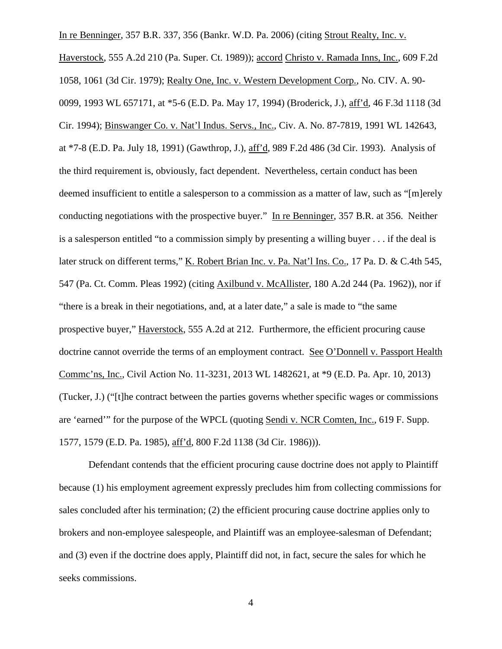In re Benninger, 357 B.R. 337, 356 (Bankr. W.D. Pa. 2006) (citing Strout Realty, Inc. v. Haverstock, 555 A.2d 210 (Pa. Super. Ct. 1989)); accord Christo v. Ramada Inns, Inc., 609 F.2d 1058, 1061 (3d Cir. 1979); Realty One, Inc. v. Western Development Corp., No. CIV. A. 90- 0099, 1993 WL 657171, at \*5-6 (E.D. Pa. May 17, 1994) (Broderick, J.), aff'd, 46 F.3d 1118 (3d Cir. 1994); Binswanger Co. v. Nat'l Indus. Servs., Inc., Civ. A. No. 87-7819, 1991 WL 142643, at \*7-8 (E.D. Pa. July 18, 1991) (Gawthrop, J.), aff'd, 989 F.2d 486 (3d Cir. 1993). Analysis of the third requirement is, obviously, fact dependent. Nevertheless, certain conduct has been deemed insufficient to entitle a salesperson to a commission as a matter of law, such as "[m]erely conducting negotiations with the prospective buyer." In re Benninger, 357 B.R. at 356. Neither is a salesperson entitled "to a commission simply by presenting a willing buyer . . . if the deal is later struck on different terms," K. Robert Brian Inc. v. Pa. Nat'l Ins. Co., 17 Pa. D. & C.4th 545, 547 (Pa. Ct. Comm. Pleas 1992) (citing Axilbund v. McAllister, 180 A.2d 244 (Pa. 1962)), nor if "there is a break in their negotiations, and, at a later date," a sale is made to "the same prospective buyer," Haverstock, 555 A.2d at 212. Furthermore, the efficient procuring cause doctrine cannot override the terms of an employment contract. See O'Donnell v. Passport Health Commc'ns, Inc., Civil Action No. 11-3231, 2013 WL 1482621, at \*9 (E.D. Pa. Apr. 10, 2013) (Tucker, J.) ("[t]he contract between the parties governs whether specific wages or commissions are 'earned'" for the purpose of the WPCL (quoting Sendi v. NCR Comten, Inc., 619 F. Supp. 1577, 1579 (E.D. Pa. 1985), aff'd, 800 F.2d 1138 (3d Cir. 1986))).

Defendant contends that the efficient procuring cause doctrine does not apply to Plaintiff because (1) his employment agreement expressly precludes him from collecting commissions for sales concluded after his termination; (2) the efficient procuring cause doctrine applies only to brokers and non-employee salespeople, and Plaintiff was an employee-salesman of Defendant; and (3) even if the doctrine does apply, Plaintiff did not, in fact, secure the sales for which he seeks commissions.

4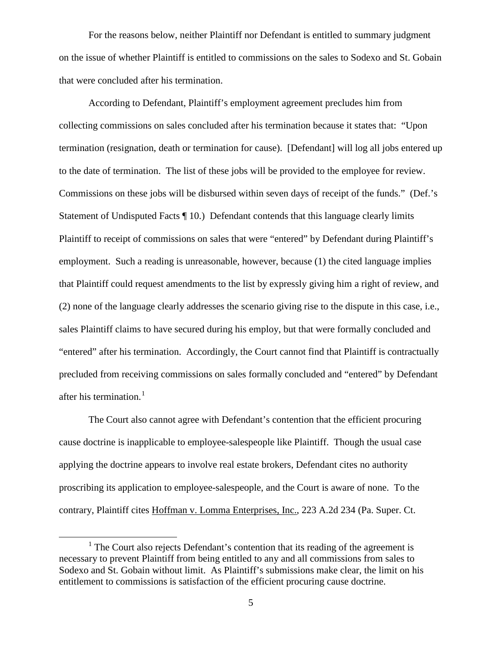For the reasons below, neither Plaintiff nor Defendant is entitled to summary judgment on the issue of whether Plaintiff is entitled to commissions on the sales to Sodexo and St. Gobain that were concluded after his termination.

According to Defendant, Plaintiff's employment agreement precludes him from collecting commissions on sales concluded after his termination because it states that: "Upon termination (resignation, death or termination for cause). [Defendant] will log all jobs entered up to the date of termination. The list of these jobs will be provided to the employee for review. Commissions on these jobs will be disbursed within seven days of receipt of the funds." (Def.'s Statement of Undisputed Facts ¶ 10.) Defendant contends that this language clearly limits Plaintiff to receipt of commissions on sales that were "entered" by Defendant during Plaintiff's employment. Such a reading is unreasonable, however, because (1) the cited language implies that Plaintiff could request amendments to the list by expressly giving him a right of review, and (2) none of the language clearly addresses the scenario giving rise to the dispute in this case, i.e., sales Plaintiff claims to have secured during his employ, but that were formally concluded and "entered" after his termination. Accordingly, the Court cannot find that Plaintiff is contractually precluded from receiving commissions on sales formally concluded and "entered" by Defendant after his termination. $<sup>1</sup>$  $<sup>1</sup>$  $<sup>1</sup>$ </sup>

The Court also cannot agree with Defendant's contention that the efficient procuring cause doctrine is inapplicable to employee-salespeople like Plaintiff. Though the usual case applying the doctrine appears to involve real estate brokers, Defendant cites no authority proscribing its application to employee-salespeople, and the Court is aware of none. To the contrary, Plaintiff cites Hoffman v. Lomma Enterprises, Inc., 223 A.2d 234 (Pa. Super. Ct.

<span id="page-4-0"></span> $<sup>1</sup>$  The Court also rejects Defendant's contention that its reading of the agreement is</sup> necessary to prevent Plaintiff from being entitled to any and all commissions from sales to Sodexo and St. Gobain without limit. As Plaintiff's submissions make clear, the limit on his entitlement to commissions is satisfaction of the efficient procuring cause doctrine.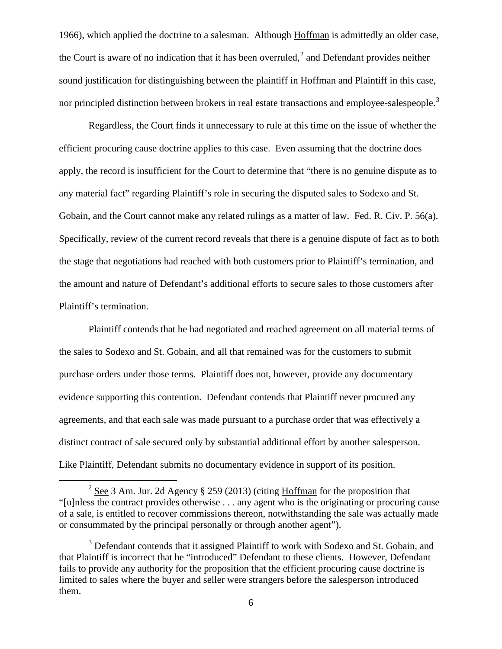1966), which applied the doctrine to a salesman. Although Hoffman is admittedly an older case, the Court is aware of no indication that it has been overruled,<sup>[2](#page-5-0)</sup> and Defendant provides neither sound justification for distinguishing between the plaintiff in Hoffman and Plaintiff in this case, nor principled distinction between brokers in real estate transactions and employee-salespeople.<sup>[3](#page-5-1)</sup>

Regardless, the Court finds it unnecessary to rule at this time on the issue of whether the efficient procuring cause doctrine applies to this case. Even assuming that the doctrine does apply, the record is insufficient for the Court to determine that "there is no genuine dispute as to any material fact" regarding Plaintiff's role in securing the disputed sales to Sodexo and St. Gobain, and the Court cannot make any related rulings as a matter of law. Fed. R. Civ. P. 56(a). Specifically, review of the current record reveals that there is a genuine dispute of fact as to both the stage that negotiations had reached with both customers prior to Plaintiff's termination, and the amount and nature of Defendant's additional efforts to secure sales to those customers after Plaintiff's termination.

Plaintiff contends that he had negotiated and reached agreement on all material terms of the sales to Sodexo and St. Gobain, and all that remained was for the customers to submit purchase orders under those terms. Plaintiff does not, however, provide any documentary evidence supporting this contention. Defendant contends that Plaintiff never procured any agreements, and that each sale was made pursuant to a purchase order that was effectively a distinct contract of sale secured only by substantial additional effort by another salesperson. Like Plaintiff, Defendant submits no documentary evidence in support of its position.

<span id="page-5-0"></span><sup>&</sup>lt;sup>2</sup> See 3 Am. Jur. 2d Agency § 259 (2013) (citing Hoffman for the proposition that "[u]nless the contract provides otherwise . . . any agent who is the originating or procuring cause of a sale, is entitled to recover commissions thereon, notwithstanding the sale was actually made or consummated by the principal personally or through another agent").

<span id="page-5-1"></span><sup>&</sup>lt;sup>3</sup> Defendant contends that it assigned Plaintiff to work with Sodexo and St. Gobain, and that Plaintiff is incorrect that he "introduced" Defendant to these clients. However, Defendant fails to provide any authority for the proposition that the efficient procuring cause doctrine is limited to sales where the buyer and seller were strangers before the salesperson introduced them.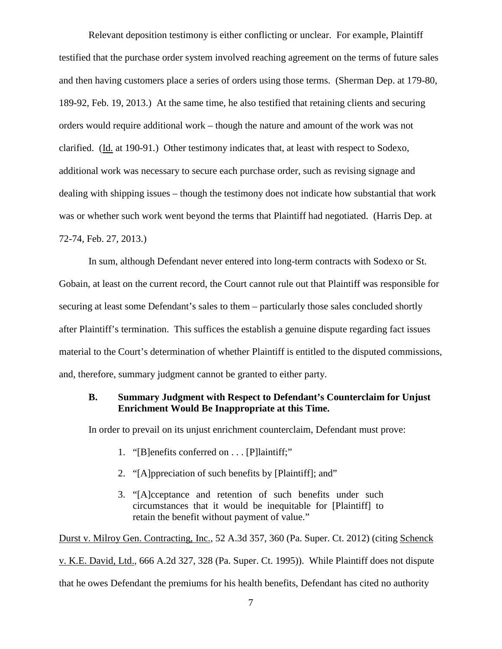Relevant deposition testimony is either conflicting or unclear. For example, Plaintiff testified that the purchase order system involved reaching agreement on the terms of future sales and then having customers place a series of orders using those terms. (Sherman Dep. at 179-80, 189-92, Feb. 19, 2013.) At the same time, he also testified that retaining clients and securing orders would require additional work – though the nature and amount of the work was not clarified. (Id. at 190-91.) Other testimony indicates that, at least with respect to Sodexo, additional work was necessary to secure each purchase order, such as revising signage and dealing with shipping issues – though the testimony does not indicate how substantial that work was or whether such work went beyond the terms that Plaintiff had negotiated. (Harris Dep. at 72-74, Feb. 27, 2013.)

In sum, although Defendant never entered into long-term contracts with Sodexo or St. Gobain, at least on the current record, the Court cannot rule out that Plaintiff was responsible for securing at least some Defendant's sales to them – particularly those sales concluded shortly after Plaintiff's termination. This suffices the establish a genuine dispute regarding fact issues material to the Court's determination of whether Plaintiff is entitled to the disputed commissions, and, therefore, summary judgment cannot be granted to either party.

# **B. Summary Judgment with Respect to Defendant's Counterclaim for Unjust Enrichment Would Be Inappropriate at this Time.**

In order to prevail on its unjust enrichment counterclaim, Defendant must prove:

- 1. "[B]enefits conferred on . . . [P]laintiff;"
- 2. "[A]ppreciation of such benefits by [Plaintiff]; and"
- 3. "[A]cceptance and retention of such benefits under such circumstances that it would be inequitable for [Plaintiff] to retain the benefit without payment of value."

Durst v. Milroy Gen. Contracting, Inc., 52 A.3d 357, 360 (Pa. Super. Ct. 2012) (citing Schenck v. K.E. David, Ltd., 666 A.2d 327, 328 (Pa. Super. Ct. 1995)). While Plaintiff does not dispute that he owes Defendant the premiums for his health benefits, Defendant has cited no authority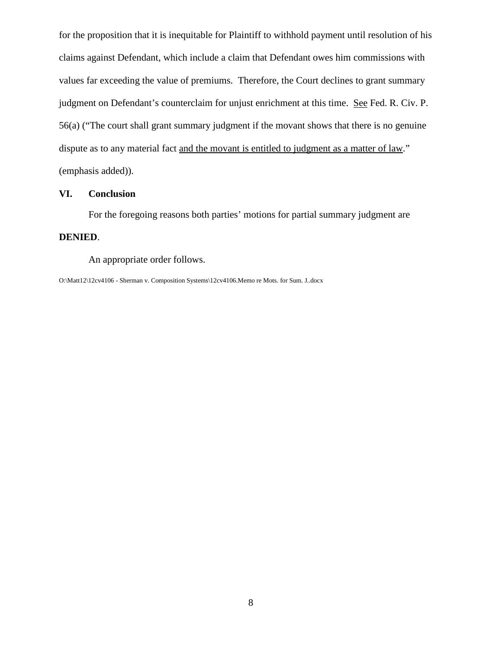for the proposition that it is inequitable for Plaintiff to withhold payment until resolution of his claims against Defendant, which include a claim that Defendant owes him commissions with values far exceeding the value of premiums. Therefore, the Court declines to grant summary judgment on Defendant's counterclaim for unjust enrichment at this time. See Fed. R. Civ. P. 56(a) ("The court shall grant summary judgment if the movant shows that there is no genuine dispute as to any material fact and the movant is entitled to judgment as a matter of law." (emphasis added)).

## **VI. Conclusion**

For the foregoing reasons both parties' motions for partial summary judgment are

#### **DENIED**.

An appropriate order follows.

O:\Matt12\12cv4106 - Sherman v. Composition Systems\12cv4106.Memo re Mots. for Sum. J..docx